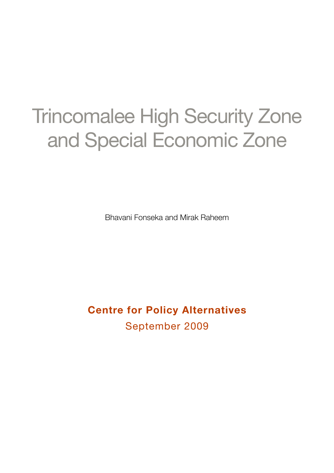### Trincomalee High Security Zone and Special Economic Zone

Bhavani Fonseka and Mirak Raheem

**Centre for Policy Alternatives** September 2009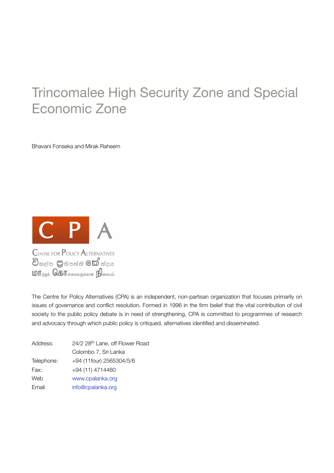### Trincomalee High Security Zone and Special Economic Zone

Bhavani Fonseka and Mirak Raheem



The Centre for Policy Alternatives (CPA) is an independent, non-partisan organization that focuses primarily on issues of governance and conflict resolution. Formed in 1996 in the firm belief that the vital contribution of civil society to the public policy debate is in need of strengthening, CPA is committed to programmes of research and advocacy through which public policy is critiqued, alternatives identified and disseminated.

| Address:   | 24/2 28 <sup>th</sup> Lane, off Flower Road |
|------------|---------------------------------------------|
|            | Colombo 7, Sri Lanka                        |
| Telephone: | +94 (11four) 2565304/5/6                    |
| Fax:       | +94 (11) 4714460                            |
| Web        | www.cpalanka.org                            |
| Email      | info@cpalanka.org                           |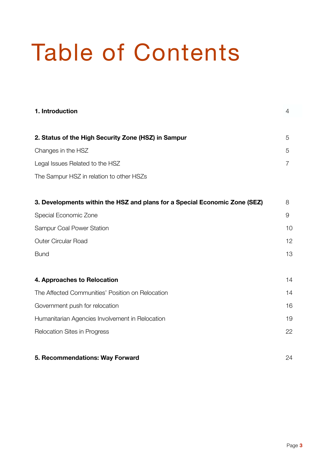## Table of Contents

| 1. Introduction                                                            | 4  |
|----------------------------------------------------------------------------|----|
| 2. Status of the High Security Zone (HSZ) in Sampur                        | 5  |
| Changes in the HSZ                                                         | 5  |
| Legal Issues Related to the HSZ                                            | 7  |
| The Sampur HSZ in relation to other HSZs                                   |    |
| 3. Developments within the HSZ and plans for a Special Economic Zone (SEZ) | 8  |
| Special Economic Zone                                                      | 9  |
| Sampur Coal Power Station                                                  | 10 |
| <b>Outer Circular Road</b>                                                 | 12 |
| <b>Bund</b>                                                                | 13 |
| 4. Approaches to Relocation                                                | 14 |
| The Affected Communities' Position on Relocation                           | 14 |
| Government push for relocation                                             | 16 |
| Humanitarian Agencies Involvement in Relocation                            | 19 |
| Relocation Sites in Progress                                               | 22 |
| 5. Recommendations: Way Forward                                            | 24 |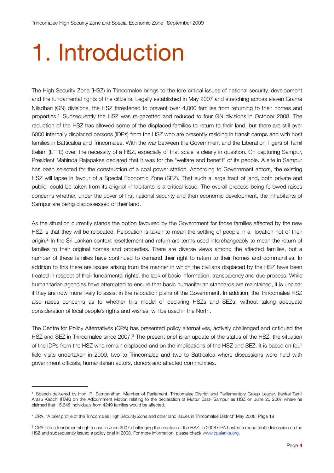### 1. Introduction

The High Security Zone (HSZ) in Trincomalee brings to the fore critical issues of national security, development and the fundamental rights of the citizens. Legally established in May 2007 and stretching across eleven Grama Niladhari (GN) divisions, the HSZ threatened to prevent over 4,000 families from returning to their homes and properties.[1](#page-3-0) Subsequently the HSZ was re-gazetted and reduced to four GN divisions in October 2008. The reduction of the HSZ has allowed some of the displaced families to return to their land, but there are still over 6000 internally displaced persons (IDPs) from the HSZ who are presently residing in transit camps and with host families in Batticaloa and Trincomalee. With the war between the Government and the Liberation Tigers of Tamil Eelam (LTTE) over, the necessity of a HSZ, especially of that scale is clearly in question. On capturing Sampur, President Mahinda Rajapakse declared that it was for the "welfare and benefit" of its people. A site in Sampur has been selected for the construction of a coal power station. According to Government actors, the existing HSZ will lapse in favour of a Special Economic Zone (SEZ). That such a large tract of land, both private and public, could be taken from its original inhabitants is a critical issue. The overall process being followed raises concerns whether, under the cover of first national security and then economic development, the inhabitants of Sampur are being dispossessed of their land.

As the situation currently stands the option favoured by the Government for those families affected by the new HSZ is that they will be relocated. Relocation is taken to mean the settling of people in a location not of their origin.<sup>2</sup> In the Sri Lankan context resettlement and return are terms used interchangeably to mean the return of families to their original homes and properties. There are diverse views among the affected families, but a number of these families have continued to demand their right to return to their homes and communities. In addition to this there are issues arising from the manner in which the civilians displaced by the HSZ have been treated in respect of their fundamental rights, the lack of basic information, transparency and due process. While humanitarian agencies have attempted to ensure that basic humanitarian standards are maintained, it is unclear if they are now more likely to assist in the relocation plans of the Government. In addition, the Trincomalee HSZ also raises concerns as to whether this model of declaring HSZs and SEZs, without taking adequate consideration of local people's rights and wishes, will be used in the North.

The Centre for Policy Alternatives (CPA) has presented policy alternatives, actively challenged and critiqued the HSZ and SEZ in Trincomalee since 2007.<sup>3</sup> The present brief is an update of the status of the HSZ, the situation of the IDPs from the HSZ who remain displaced and on the implications of the HSZ and SEZ. It is based on four field visits undertaken in 2009, two to Trincomalee and two to Batticaloa where discussions were held with government officials, humanitarian actors, donors and affected communities.

<span id="page-3-0"></span><sup>1</sup> Speech delivered by Hon. R. Sampanthan, Member of Parliament, Trincomalee District and Parliamentary Group Leader, Illankai Tamil Arasu Kadchi (ITAK) on the Adjournment Motion relating to the declaration of Muttur East- Sampur as HSZ on June 20 2007 where he claimed that 15,648 individuals from 4249 families would be affected..

<span id="page-3-1"></span><sup>2</sup> CPA, "A brief profile of the Trincomalee High Security Zone and other land issues in Trincomalee District" May 2008, Page 19

<span id="page-3-2"></span><sup>&</sup>lt;sup>3</sup> CPA filed a fundamental rights case in June 2007 challenging the creation of the HSZ. In 2008 CPA hosted a round table discussion on the HSZ and subsequently issued a policy brief in 2008. For more information, please check [www.cpalanka.org](http://www.cpalanka.org).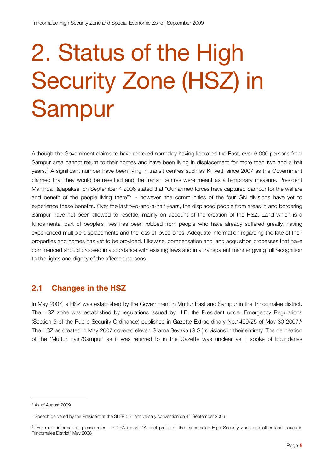## 2. Status of the High Security Zone (HSZ) in Sampur

Although the Government claims to have restored normalcy having liberated the East, over 6,000 persons from Sampur area cannot return to their homes and have been living in displacement for more than two and a half years.[4](#page-4-0) A significant number have been living in transit centres such as Killivetti since 2007 as the Government claimed that they would be resettled and the transit centres were meant as a temporary measure. President Mahinda Rajapakse, on September 4 2006 stated that "Our armed forces have captured Sampur for the welfare and benefit of the people living there"<sup>5</sup> - however, the communities of the four GN divisions have yet to experience these benefits. Over the last two-and-a-half years, the displaced people from areas in and bordering Sampur have not been allowed to resettle, mainly on account of the creation of the HSZ. Land which is a fundamental part of people's lives has been robbed from people who have already suffered greatly, having experienced multiple displacements and the loss of loved ones. Adequate information regarding the fate of their properties and homes has yet to be provided. Likewise, compensation and land acquisition processes that have commenced should proceed in accordance with existing laws and in a transparent manner giving full recognition to the rights and dignity of the affected persons.

#### **2.1 Changes in the HSZ**

In May 2007, a HSZ was established by the Government in Muttur East and Sampur in the Trincomalee district. The HSZ zone was established by regulations issued by H.E. the President under Emergency Regulations (Section 5 of the Public Security Ordinance) published in Gazette Extraordinary No.1499/25 of May 30 2007.[6](#page-4-2) The HSZ as created in May 2007 covered eleven Grama Sevaka (G.S.) divisions in their entirety. The delineation of the 'Muttur East/Sampur' as it was referred to in the Gazette was unclear as it spoke of boundaries

<span id="page-4-0"></span><sup>4</sup> As of August 2009

<span id="page-4-1"></span><sup>&</sup>lt;sup>5</sup> Speech delivered by the President at the SLFP 55<sup>th</sup> anniversary convention on 4<sup>th</sup> September 2006

<span id="page-4-2"></span><sup>&</sup>lt;sup>6</sup> For more information, please refer to CPA report, "A brief profile of the Trincomalee High Security Zone and other land issues in Trincomalee District" May 2008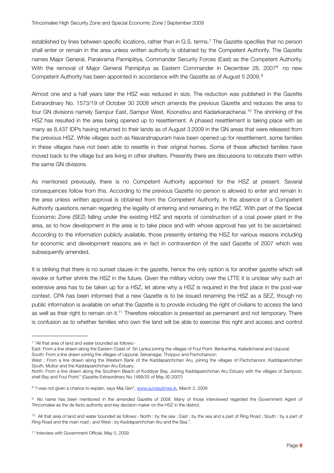established by lines between specific locations, rather than in G.S. terms.[7](#page-5-0) The Gazette specifies that no person shall enter or remain in the area unless written authority is obtained by the Competent Authority. The Gazette names Major General, Parakrama Pannipitiya, Commander Security Forces (East) as the Competent Authority. With the removal of Major General Pannipitya as Eastern Commander in December 28, 2007<sup>8</sup> no new Competent Authority has been appointed in accordance with the Gazette as of August 5 200[9](#page-5-2).<sup>9</sup>

Almost one and a half years later the HSZ was reduced in size. The reduction was published in the Gazette Extraordinary No. 1573/19 of October 30 2008 which amends the previous Gazette and reduces the area to four GN divisions namely Sampur East, Sampur West, Koonativu and Kadarkaraichenai.[10](#page-5-3) The shrinking of the HSZ has resulted in the area being opened up to resettlement. A phased resettlement is taking place with as many as 8,437 IDPs having returned to their lands as of August 3 2009 in the GN areas that were released from the previous HSZ. While villages such as Navaratnapuram have been opened up for resettlement, some families in these villages have not been able to resettle in their original homes. Some of these affected families have moved back to the village but are living in other shelters. Presently there are discussions to relocate them within the same GN divisions.

As mentioned previously, there is no Competent Authority appointed for the HSZ at present. Several consequences follow from this. According to the previous Gazette no person is allowed to enter and remain in the area unless written approval is obtained from the Competent Authority. In the absence of a Competent Authority questions remain regarding the legality of entering and remaining in the HSZ. With part of the Special Economic Zone (SEZ) falling under the existing HSZ and reports of construction of a coal power plant in the area, as to how development in the area is to take place and with whose approval has yet to be ascertained. According to the information publicly available, those presently entering the HSZ for various reasons including for economic and development reasons are in fact in contravention of the said Gazette of 2007 which was subsequently amended.

It is striking that there is no sunset clause in the gazette, hence the only option is for another gazette which will revoke or further shrink the HSZ in the future. Given the military victory over the LTTE it is unclear why such an extensive area has to be taken up for a HSZ, let alone why a HSZ is required in the first place in the post-war context. CPA has been informed that a new Gazette is to be issued renaming the HSZ as a SEZ, though no public information is available on what the Gazette is to provide including the right of civilians to access the land as well as their right to remain on it[.11](#page-5-4) Therefore relocation is presented as permanent and not temporary. There is confusion as to whether families who own the land will be able to exercise this right and access and control

East: From a line drawn along the Eastern Coast of Sri Lanka joining the villages of Foul Point, Illankanthai, Kalladichanai and Uppural;

South: From a line drawn joining the villages of Uppural, Selvanagar, Thoppur and Pachchanoor;

<span id="page-5-0"></span><sup>7 &</sup>quot;All that area of land and water bounded as follows:-

West : From a line drawn along the Western Bank of the Kaddaparichchan Aru, joining the villages of Pachchanoor, Kaddaparichchan South, Muttur and the Kaddaparichchan Aru Estuary;

North: From a line drawn along the Southern Beach of Koddiyar Bay, Joining Kaddaparichchan Aru Estuary with the villages of Sampoor, shell Bay and Foul Point;" (Gazette Extraordinary No.1499/25 of May 30 2007)

<span id="page-5-1"></span><sup>8 &</sup>quot;I was not given a chance to explain, says Maj Gen", [www.sundaytimes.lk,](http://www.sundaytimes.lk) March 2, 2008

<span id="page-5-2"></span><sup>&</sup>lt;sup>9</sup> No name has been mentioned in the amended Gazette of 2008. Many of those interviewed regarded the Government Agent of Trincomalee as the de facto authority and key decision maker on the HSZ in the district.

<span id="page-5-3"></span><sup>&</sup>lt;sup>10</sup> All that area of land and water bounded as follows:- North : by the sea ; East : by the sea and a part of Ring Road ; South : by a part of Ring Road and the main road ; and West : by Kaddaparichchan Aru and the Sea.".

<span id="page-5-4"></span><sup>11</sup> Interview with Government Official, May 5, 2009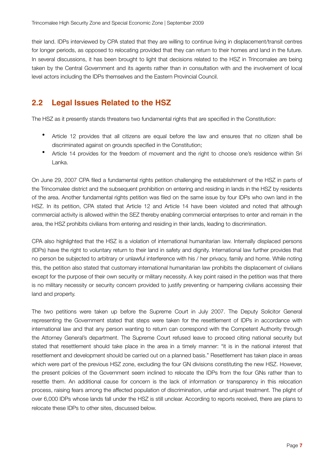their land. IDPs interviewed by CPA stated that they are willing to continue living in displacement/transit centres for longer periods, as opposed to relocating provided that they can return to their homes and land in the future. In several discussions, it has been brought to light that decisions related to the HSZ in Trincomalee are being taken by the Central Government and its agents rather than in consultation with and the involvement of local level actors including the IDPs themselves and the Eastern Provincial Council.

#### **2.2 Legal Issues Related to the HSZ**

The HSZ as it presently stands threatens two fundamental rights that are specified in the Constitution:

- Article 12 provides that all citizens are equal before the law and ensures that no citizen shall be discriminated against on grounds specified in the Constitution;
- Article 14 provides for the freedom of movement and the right to choose one's residence within Sri Lanka.

On June 29, 2007 CPA filed a fundamental rights petition challenging the establishment of the HSZ in parts of the Trincomalee district and the subsequent prohibition on entering and residing in lands in the HSZ by residents of the area. Another fundamental rights petition was filed on the same issue by four IDPs who own land in the HSZ. In its petition, CPA stated that Article 12 and Article 14 have been violated and noted that although commercial activity is allowed within the SEZ thereby enabling commercial enterprises to enter and remain in the area, the HSZ prohibits civilians from entering and residing in their lands, leading to discrimination.

CPA also highlighted that the HSZ is a violation of international humanitarian law. Internally displaced persons (IDPs) have the right to voluntary return to their land in safety and dignity. International law further provides that no person be subjected to arbitrary or unlawful interference with his / her privacy, family and home. While noting this, the petition also stated that customary international humanitarian law prohibits the displacement of civilians except for the purpose of their own security or military necessity. A key point raised in the petition was that there is no military necessity or security concern provided to justify preventing or hampering civilians accessing their land and property.

The two petitions were taken up before the Supreme Court in July 2007. The Deputy Solicitor General representing the Government stated that steps were taken for the resettlement of IDPs in accordance with international law and that any person wanting to return can correspond with the Competent Authority through the Attorney General's department. The Supreme Court refused leave to proceed citing national security but stated that resettlement should take place in the area in a timely manner: "it is in the national interest that resettlement and development should be carried out on a planned basis." Resettlement has taken place in areas which were part of the previous HSZ zone, excluding the four GN divisions constituting the new HSZ. However, the present policies of the Government seem inclined to relocate the IDPs from the four GNs rather than to resettle them. An additional cause for concern is the lack of information or transparency in this relocation process, raising fears among the affected population of discrimination, unfair and unjust treatment. The plight of over 6,000 IDPs whose lands fall under the HSZ is still unclear. According to reports received, there are plans to relocate these IDPs to other sites, discussed below.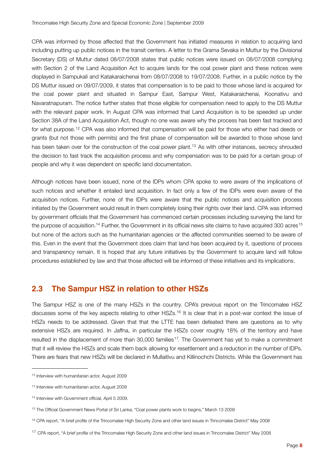CPA was informed by those affected that the Government has initiated measures in relation to acquiring land including putting up public notices in the transit centers. A letter to the Grama Sevaka in Muttur by the Divisional Secretary (DS) of Muttur dated 08/07/2008 states that public notices were issued on 08/07/2008 complying with Section 2 of the Land Acquisition Act to acquire lands for the coal power plant and these notices were displayed in Sampukali and Katakaraichenai from 08/07/2008 to 19/07/2008. Further, in a public notice by the DS Muttur issued on 09/07/2009, it states that compensation is to be paid to those whose land is acquired for the coal power plant and situated in Sampur East, Sampur West, Katakaraichenai, Koonativu and Navaratnapuram. The notice further states that those eligible for compensation need to apply to the DS Muttur with the relevant paper work. In August CPA was informed that Land Acquisition is to be speeded up under Section 38A of the Land Acquisition Act, though no one was aware why the process has been fast tracked and for what purpose.<sup>12</sup> CPA was also informed that compensation will be paid for those who either had deeds or grants (but not those with permits) and the first phase of compensation will be awarded to those whose land has been taken over for the construction of the coal power plant.<sup>13</sup> As with other instances, secrecy shrouded the decision to fast track the acquisition process and why compensation was to be paid for a certain group of people and why it was dependent on specific land documentation.

Although notices have been issued, none of the IDPs whom CPA spoke to were aware of the implications of such notices and whether it entailed land acquisition. In fact only a few of the IDPs were even aware of the acquisition notices. Further, none of the IDPs were aware that the public notices and acquisition process initiated by the Government would result in them completely losing their rights over their land. CPA was informed by government officials that the Government has commenced certain processes including surveying the land for the purpose of acquisition.<sup>14</sup> Further, the Government in its official news site claims to have acquired 300 acres<sup>[15](#page-7-3)</sup> but none of the actors such as the humanitarian agencies or the affected communities seemed to be aware of this. Even in the event that the Government does claim that land has been acquired by it, questions of process and transparency remain. It is hoped that any future initiatives by the Government to acquire land will follow procedures established by law and that those affected will be informed of these initiatives and its implications.

#### **2.3 The Sampur HSZ in relation to other HSZs**

The Sampur HSZ is one of the many HSZs in the country. CPA's previous report on the Trincomalee HSZ discusses some of the key aspects relating to other HSZs.<sup>16</sup> It is clear that in a post-war context the issue of HSZs needs to be addressed. Given that that the LTTE has been defeated there are questions as to why extensive HSZs are required. In Jaffna, in particular the HSZs cover roughly 18% of the territory and have resulted in the displacement of more than 30,000 families<sup>[17](#page-7-5)</sup>. The Government has yet to make a commitment that it will review the HSZs and scale them back allowing for resettlement and a reduction in the number of IDPs. There are fears that new HSZs will be declared in Mullaitivu and Killinochchi Districts. While the Government has

<span id="page-7-0"></span><sup>12</sup> Interview with humanitarian actor, August 2009

<span id="page-7-1"></span><sup>13</sup> Interview with humanitarian actor, August 2009

<span id="page-7-2"></span><sup>14</sup> Interview with Government official, April 5 2009.

<span id="page-7-3"></span><sup>15</sup> The Official Government News Portal of Sri Lanka, "Coal power plants work to begins," March 13 2009

<span id="page-7-4"></span><sup>&</sup>lt;sup>16</sup> CPA report, "A brief profile of the Trincomalee High Security Zone and other land issues in Trincomalee District" May 2008

<span id="page-7-5"></span><sup>&</sup>lt;sup>17</sup> CPA report, "A brief profile of the Trincomalee High Security Zone and other land issues in Trincomalee District" May 2008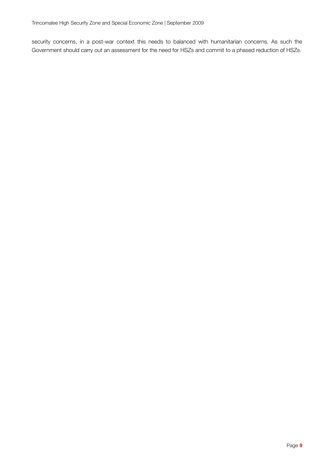security concerns, in a post-war context this needs to balanced with humanitarian concerns. As such the Government should carry out an assessment for the need for HSZs and commit to a phased reduction of HSZs.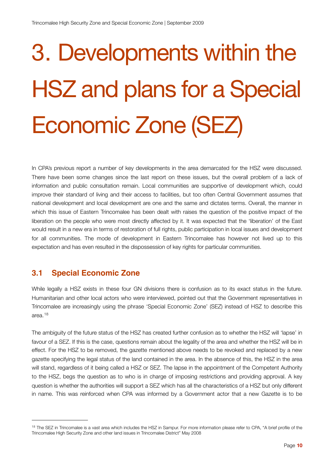# 3. Developments within the HSZ and plans for a Special Economic Zone (SEZ)

In CPA's previous report a number of key developments in the area demarcated for the HSZ were discussed. There have been some changes since the last report on these issues, but the overall problem of a lack of information and public consultation remain. Local communities are supportive of development which, could improve their standard of living and their access to facilities, but too often Central Government assumes that national development and local development are one and the same and dictates terms. Overall, the manner in which this issue of Eastern Trincomalee has been dealt with raises the question of the positive impact of the liberation on the people who were most directly affected by it. It was expected that the 'liberation' of the East would result in a new era in terms of restoration of full rights, public participation in local issues and development for all communities. The mode of development in Eastern Trincomalee has however not lived up to this expectation and has even resulted in the dispossession of key rights for particular communities.

#### **3.1 Special Economic Zone**

While legally a HSZ exists in these four GN divisions there is confusion as to its exact status in the future. Humanitarian and other local actors who were interviewed, pointed out that the Government representatives in Trincomalee are increasingly using the phrase 'Special Economic Zone' (SEZ) instead of HSZ to describe this area.[18](#page-9-0)

The ambiguity of the future status of the HSZ has created further confusion as to whether the HSZ will 'lapse' in favour of a SEZ. If this is the case, questions remain about the legality of the area and whether the HSZ will be in effect. For the HSZ to be removed, the gazette mentioned above needs to be revoked and replaced by a new gazette specifying the legal status of the land contained in the area. In the absence of this, the HSZ in the area will stand, regardless of it being called a HSZ or SEZ. The lapse in the appointment of the Competent Authority to the HSZ, begs the question as to who is in charge of imposing restrictions and providing approval. A key question is whether the authorities will support a SEZ which has all the characteristics of a HSZ but only different in name. This was reinforced when CPA was informed by a Government actor that a new Gazette is to be

<span id="page-9-0"></span><sup>&</sup>lt;sup>18</sup> The SEZ in Trincomalee is a vast area which includes the HSZ in Sampur. For more information please refer to CPA, "A brief profile of the Trincomalee High Security Zone and other land issues in Trincomalee District" May 2008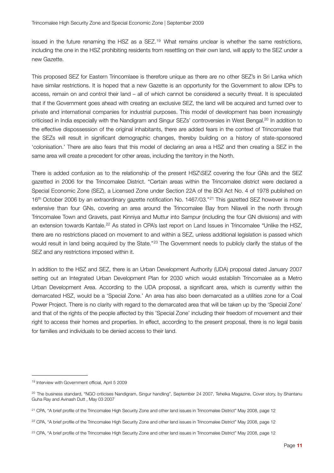issued in the future renaming the HSZ as a SEZ.<sup>19</sup> What remains unclear is whether the same restrictions, including the one in the HSZ prohibiting residents from resettling on their own land, will apply to the SEZ under a new Gazette.

This proposed SEZ for Eastern Trincomlaee is therefore unique as there are no other SEZ's in Sri Lanka which have similar restrictions. It is hoped that a new Gazette is an opportunity for the Government to allow IDPs to access, remain on and control their land – all of which cannot be considered a security threat. It is speculated that if the Government goes ahead with creating an exclusive SEZ, the land will be acquired and turned over to private and international companies for industrial purposes. This model of development has been increasingly criticised in India especially with the Nandigram and Singur SEZs' controversies in West Bengal.<sup>20</sup> In addition to the effective dispossession of the original inhabitants, there are added fears in the context of Trincomalee that the SEZs will result in significant demographic changes, thereby building on a history of state-sponsored 'colonisation.' There are also fears that this model of declaring an area a HSZ and then creating a SEZ in the same area will create a precedent for other areas, including the territory in the North.

There is added confusion as to the relationship of the present HSZ\SEZ covering the four GNs and the SEZ gazetted in 2006 for the Trincomalee District. "Certain areas within the Trincomalee district were declared a Special Economic Zone (SEZ), a Licensed Zone under Section 22A of the BOI Act No. 4 of 1978 published on 16<sup>th</sup> October 2006 by an extraordinary gazette notification No. 1467/03."<sup>21</sup> This gazetted SEZ however is more extensive than four GNs, covering an area around the Trincomalee Bay from Nilaveli in the north through Trincomalee Town and Gravets, past Kinniya and Muttur into Sampur (including the four GN divisions) and with an extension towards Kantale.[22](#page-10-3) As stated in CPA's last report on Land Issues in Trincomalee "Unlike the HSZ, there are no restrictions placed on movement to and within a SEZ, unless additional legislation is passed which would result in land being acquired by the State."<sup>23</sup> The Government needs to publicly clarify the status of the SEZ and any restrictions imposed within it.

In addition to the HSZ and SEZ, there is an Urban Development Authority (UDA) proposal dated January 2007 setting out an Integrated Urban Development Plan for 2030 which would establish Trincomalee as a Metro Urban Development Area. According to the UDA proposal, a significant area, which is currently within the demarcated HSZ, would be a 'Special Zone.' An area has also been demarcated as a utilities zone for a Coal Power Project. There is no clarity with regard to the demarcated area that will be taken up by the 'Special Zone' and that of the rights of the people affected by this 'Special Zone' including their freedom of movement and their right to access their homes and properties. In effect, according to the present proposal, there is no legal basis for families and individuals to be denied access to their land.

<span id="page-10-0"></span><sup>19</sup> Interview with Government official, April 5 2009

<span id="page-10-1"></span><sup>&</sup>lt;sup>20</sup> The business standard, "NGO criticises Nandigram, Singur handling", September 24 2007, Tehelka Magazine, Cover story, by Shantanu Guha Ray and Avinash Dutt , May 03 2007

<span id="page-10-2"></span><sup>21</sup> CPA, "A brief profile of the Trincomalee High Security Zone and other land issues in Trincomalee District" May 2008, page 12

<span id="page-10-3"></span><sup>&</sup>lt;sup>22</sup> CPA, "A brief profile of the Trincomalee High Security Zone and other land issues in Trincomalee District" May 2008, page 12

<span id="page-10-4"></span><sup>&</sup>lt;sup>23</sup> CPA, "A brief profile of the Trincomalee High Security Zone and other land issues in Trincomalee District" May 2008, page 12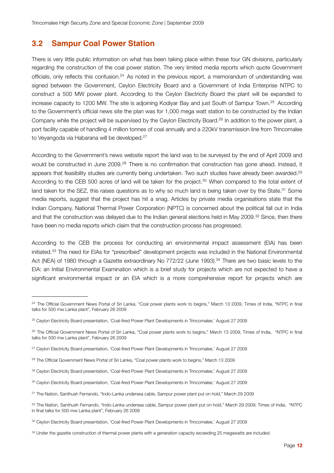#### **3.2 Sampur Coal Power Station**

There is very little public information on what has been taking place within these four GN divisions, particularly regarding the construction of the coal power station. The very limited media reports which quote Government officials, only reflects this confusion.[24](#page-11-0) As noted in the previous report, a memorandum of understanding was signed between the Government, Ceylon Electricity Board and a Government of India Enterprise NTPC to construct a 500 MW power plant. According to the Ceylon Electricity Board the plant will be expanded to increase capacity to 1200 MW. The site is adjoining Kodiyar Bay and just South of Sampur Town.[25](#page-11-1) According to the Government's official news site the plan was for 1,000 mega watt station to be constructed by the Indian Company while the project will be supervised by the Ceylon Electricity Board.<sup>26</sup> In addition to the power plant, a port facility capable of handling 4 million tonnes of coal annually and a 220kV transmission line from Trincomalee to Veyangoda via Habarana will be developed.[27](#page-11-3)

According to the Government's news website report the land was to be surveyed by the end of April 2009 and would be constructed in June 2009.<sup>28</sup> There is no confirmation that construction has gone ahead. Instead, it appears that feasibility studies are currently being undertaken. Two such studies have already been awarded.<sup>29</sup> According to the CEB 500 acres of land will be taken for the project.<sup>30</sup> When compared to the total extent of land taken for the SEZ, this raises questions as to why so much land is being taken over by the State.<sup>31</sup> Some media reports, suggest that the project has hit a snag. Articles by private media organisations state that the Indian Company, National Thermal Power Corporation (NPTC) is concerned about the political fall out in India and that the construction was delayed due to the Indian general elections held in May 2009.<sup>32</sup> Since, then there have been no media reports which claim that the construction process has progressed.

According to the CEB the process for conducting an environmental impact assessment (EIA) has been initiated.[33](#page-11-9) The need for EIAs for "prescribed" development projects was included in the National Environmental Act (NEA) of 1980 through a Gazette extraordinary No 772/22 (June 1993).<sup>34</sup> There are two basic levels to the EIA: an Initial Environmental Examination which is a brief study for projects which are not expected to have a significant environmental impact or an EIA which is a more comprehensive report for projects which are

<span id="page-11-0"></span><sup>&</sup>lt;sup>24</sup> The Official Government News Portal of Sri Lanka, "Coal power plants work to begins," March 13 2009, Times of India, "NTPC in final talks for 500 mw Lanka plant", February 26 2009

<span id="page-11-1"></span><sup>&</sup>lt;sup>25</sup> Ceylon Electricity Board presentation, 'Coal-fired Power Plant Developments in Trincomalee,' August 27 2009

<span id="page-11-2"></span><sup>&</sup>lt;sup>26</sup> The Official Government News Portal of Sri Lanka, "Coal power plants work to begins," March 13 2009, Times of India, "NTPC in final talks for 500 mw Lanka plant", February 26 2009

<span id="page-11-3"></span><sup>27</sup> Ceylon Electricity Board presentation, 'Coal-fired Power Plant Developments in Trincomalee,' August 27 2009

<span id="page-11-4"></span><sup>28</sup> The Official Government News Portal of Sri Lanka, "Coal power plants work to begins," March 13 2009

<span id="page-11-5"></span><sup>&</sup>lt;sup>29</sup> Ceylon Electricity Board presentation, 'Coal-fired Power Plant Developments in Trincomalee,' August 27 2009

<span id="page-11-6"></span><sup>30</sup> Ceylon Electricity Board presentation, 'Coal-fired Power Plant Developments in Trincomalee,' August 27 2009

<span id="page-11-7"></span><sup>31</sup> The Nation, Santhush Fernando, "Indo-Lanka undersea cable, Sampur power plant put on hold," March 29 2009

<span id="page-11-8"></span><sup>32</sup> The Nation, Santhush Fernando, "Indo-Lanka undersea cable, Sampur power plant put on hold," March 29 2009; Times of India, "NTPC in final talks for 500 mw Lanka plant", February 26 2009

<span id="page-11-9"></span><sup>33</sup> Ceylon Electricity Board presentation, 'Coal-fired Power Plant Developments in Trincomalee,' August 27 2009

<span id="page-11-10"></span><sup>&</sup>lt;sup>34</sup> Under the gazette construction of thermal power plants with a generation capacity exceeding 25 megawatts are included.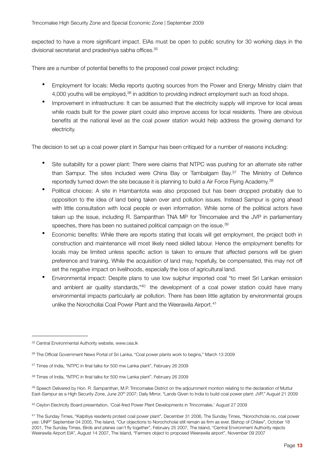expected to have a more significant impact. EIAs must be open to public scrutiny for 30 working days in the divisional secretariat and pradeshiya sabha offices.<sup>[35](#page-12-0)</sup>

There are a number of potential benefits to the proposed coal power project including:

- Employment for locals: Media reports quoting sources from the Power and Energy Ministry claim that 4,000 youths will be employed,<sup>36</sup> in addition to providing indirect employment such as food shops.
- Improvement in infrastructure: It can be assumed that the electricity supply will improve for local areas while roads built for the power plant could also improve access for local residents. There are obvious benefits at the national level as the coal power station would help address the growing demand for electricity.

The decision to set up a coal power plant in Sampur has been critiqued for a number of reasons including:

- Site suitability for a power plant: There were claims that NTPC was pushing for an alternate site rather than Sampur. The sites included were China Bay or Tambalgam Bay.[37](#page-12-2) The Ministry of Defence reportedly turned down the site because it is planning to build a Air Force Flying Academy.<sup>38</sup>
- Political choices: A site in Hambantota was also proposed but has been dropped probably due to opposition to the idea of land being taken over and pollution issues. Instead Sampur is going ahead with little consultation with local people or even information. While some of the political actors have taken up the issue, including R. Sampanthan TNA MP for Trincomalee and the JVP in parliamentary speeches, there has been no sustained political campaign on the issue.<sup>39</sup>
- Economic benefits: While there are reports stating that locals will get employment, the project both in construction and maintenance will most likely need skilled labour. Hence the employment benefits for locals may be limited unless specific action is taken to ensure that affected persons will be given preference and training. While the acquisition of land may, hopefully, be compensated, this may not off set the negative impact on livelihoods, especially the loss of agricultural land.
- Environmental impact: Despite plans to use low sulphur imported coal "to meet Sri Lankan emission and ambient air quality standards,"<sup>40</sup> the development of a coal power station could have many environmental impacts particularly air pollution. There has been little agitation by environmental groups unlike the Norochollai Coal Power Plant and the Weerawila Airport.<sup>[41](#page-12-6)</sup>

<span id="page-12-0"></span><sup>35</sup> Central Environmental Authority website, www.cea.lk

<span id="page-12-1"></span><sup>36</sup> The Official Government News Portal of Sri Lanka, "Coal power plants work to begins," March 13 2009

<span id="page-12-2"></span><sup>37</sup> Times of India, "NTPC in final talks for 500 mw Lanka plant", February 26 2009

<span id="page-12-3"></span><sup>38</sup> Times of India, "NTPC in final talks for 500 mw Lanka plant", February 26 2009

<span id="page-12-4"></span><sup>39</sup> Speech Delivered by Hon. R. Sampanthan, M.P. Trincomalee District on the adjournment montion relating to the declaration of Muttur East-Sampur as a High Security Zone, June 20<sup>th</sup> 2007; Daily Mirror, "Lands Given to India to build coal power plant: JVP," August 21 2009

<span id="page-12-5"></span><sup>40</sup> Ceylon Electricity Board presentation, 'Coal-fired Power Plant Developments in Trincomalee,' August 27 2009

<span id="page-12-6"></span><sup>41</sup> The Sunday Times, "Kalpitiya residents protest coal power plant", December 31 2006, The Sunday Times, "Norochcholai no, coal power yes: UNP" September 04 2005, The Island, "Our objections to Norochcholai still remain as firm as ever, Bishop of Chilaw", October 18 2001, The Sunday Times, Birds and planes can't fly together", February 25 2007, The Island, "Central Environment Authority rejects Weerawila Airport EIA", August 14 2007, The Island, "Farmers object to proposed Weerawila airport", November 09 2007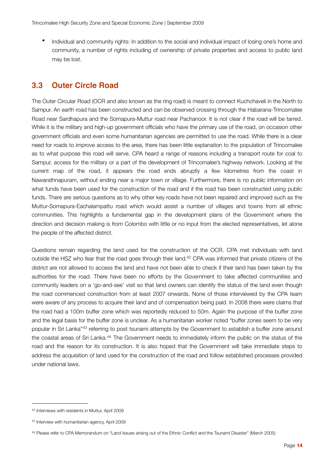• Individual and community rights: In addition to the social and individual impact of losing one's home and community, a number of rights including of ownership of private properties and access to public land may be lost.

#### **3.3 Outer Circle Road**

The Outer Circular Road (OCR and also known as the ring road) is meant to connect Kuchchaveli in the North to Sampur. An earth road has been constructed and can be observed crossing through the Habarana-Trincomalee Road near Sardhapura and the Somapura-Muttur road near Pachanoor. It is not clear if the road will be tarred. While it is the military and high-up government officials who have the primary use of the road, on occasion other government officials and even some humanitarian agencies are permitted to use the road. While there is a clear need for roads to improve access to the area, there has been little explanation to the population of Trincomalee as to what purpose this road will serve. CPA heard a range of reasons including a transport route for coal to Sampur, access for the military or a part of the development of Trincomalee's highway network. Looking at the current map of the road, it appears the road ends abruptly a few kilometres from the coast in Nawarathnapuram, without ending near a major town or village. Furthermore, there is no public information on what funds have been used for the construction of the road and if the road has been constructed using public funds. There are serious questions as to why other key roads have not been repaired and improved such as the Muttur-Somapura-Eachalampattu road which would assist a number of villages and towns from all ethnic communities. This highlights a fundamental gap in the development plans of the Government where the direction and decision making is from Colombo with little or no input from the elected representatives, let alone the people of the affected district.

Questions remain regarding the land used for the construction of the OCR. CPA met individuals with land outside the HSZ who fear that the road goes through their land.<sup>42</sup> CPA was informed that private citizens of the district are not allowed to access the land and have not been able to check if their land has been taken by the authorities for the road. There have been no efforts by the Government to take affected communities and community leaders on a 'go-and-see' visit so that land owners can identify the status of the land even though the road commenced construction from at least 2007 onwards. None of those interviewed by the CPA team were aware of any process to acquire their land and of compensation being paid. In 2008 there were claims that the road had a 100m buffer zone which was reportedly reduced to 50m. Again the purpose of the buffer zone and the legal basis for the buffer zone is unclear. As a humanitarian worker noted "buffer zones seem to be very popular in Sri Lanka"[43](#page-13-1) referring to post tsunami attempts by the Government to establish a buffer zone around the coastal areas of Sri Lanka.[44](#page-13-2) The Government needs to immediately inform the public on the status of the road and the reason for its construction. It is also hoped that the Government will take immediate steps to address the acquisition of land used for the construction of the road and follow established processes provided under national laws.

<span id="page-13-0"></span><sup>42</sup> Interviews with residents in Muttur, April 2009

<span id="page-13-1"></span><sup>43</sup> Interview with humanitarian agency, April 2009

<span id="page-13-2"></span><sup>44</sup> Please refer to CPA Memorandum on "Land Issues arising out of the Ethnic Conflict and the Tsunami Disaster" (March 2005)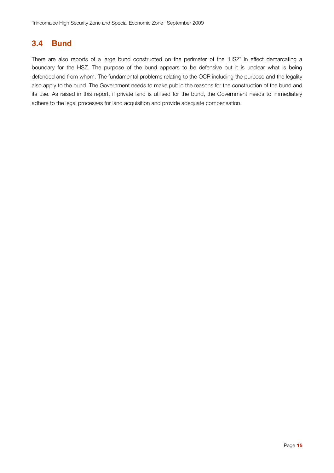#### **3.4 Bund**

There are also reports of a large bund constructed on the perimeter of the 'HSZ' in effect demarcating a boundary for the HSZ. The purpose of the bund appears to be defensive but it is unclear what is being defended and from whom. The fundamental problems relating to the OCR including the purpose and the legality also apply to the bund. The Government needs to make public the reasons for the construction of the bund and its use. As raised in this report, if private land is utilised for the bund, the Government needs to immediately adhere to the legal processes for land acquisition and provide adequate compensation.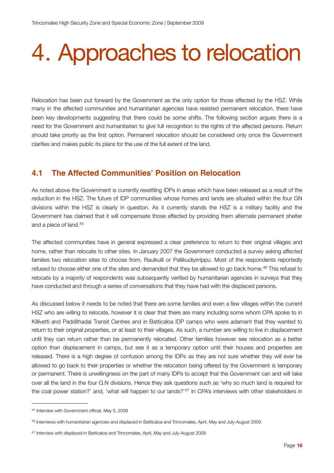### 4. Approaches to relocation

Relocation has been put forward by the Government as the only option for those affected by the HSZ. While many in the affected communities and humanitarian agencies have resisted permanent relocation, there have been key developments suggesting that there could be some shifts. The following section argues there is a need for the Government and humanitarian to give full recognition to the rights of the affected persons. Return should take priority as the first option. Permanent relocation should be considered only once the Government clarifies and makes public its plans for the use of the full extent of the land.

#### **4.1 The Affected Communities' Position on Relocation**

As noted above the Government is currently resettling IDPs in areas which have been released as a result of the reduction in the HSZ. The future of IDP communities whose homes and lands are situated within the four GN divisions within the HSZ is clearly in question. As it currently stands the HSZ is a military facility and the Government has claimed that it will compensate those affected by providing them alternate permanent shelter and a piece of land.[45](#page-15-0)

The affected communities have in general expressed a clear preference to return to their original villages and home, rather than relocate to other sites. In January 2007 the Government conducted a survey asking affected families two relocation sites to choose from, Raulkulli or Pallikudiyirrippu. Most of the respondents reportedly refused to choose either one of the sites and demanded that they be allowed to go back home.<sup>46</sup> This refusal to relocate by a majority of respondents was subsequently verified by humanitarian agencies in surveys that they have conducted and through a series of conversations that they have had with the displaced persons.

As discussed below it needs to be noted that there are some families and even a few villages within the current HSZ who are willing to relocate, however it is clear that there are many including some whom CPA spoke to in Killivetti and Paddithadal Transit Centres and in Batticaloa IDP camps who were adamant that they wanted to return to their original properties, or at least to their villages. As such, a number are willing to live in displacement until they can return rather than be permanently relocated. Other families however see relocation as a better option than displacement in camps, but see it as a temporary option until their houses and properties are released. There is a high degree of confusion among the IDPs as they are not sure whether they will ever be allowed to go back to their properties or whether the relocation being offered by the Government is temporary or permanent. There is unwillingness on the part of many IDPs to accept that the Government can and will take over all the land in the four G.N divisions. Hence they ask questions such as 'why so much land is required for the coal power station?' and, 'what will happen to our lands?'[47](#page-15-2) In CPA's interviews with other stakeholders in

<span id="page-15-0"></span><sup>45</sup> Interview with Government official, May 5, 2009

<span id="page-15-1"></span><sup>46</sup> Interviews with humanitarian agencies and displaced in Batticaloa and Trincomalee, April, May and July-August 2009

<span id="page-15-2"></span><sup>47</sup> Interview with displaced in Batticaloa and Trincomalee, April, May and July-August 2009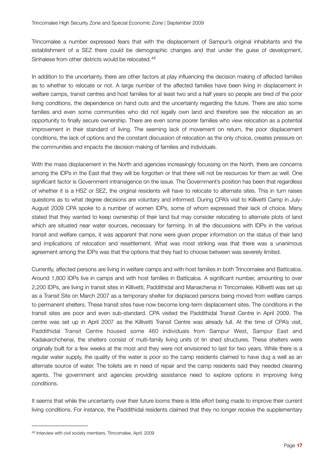Trincomalee a number expressed fears that with the displacement of Sampur's original inhabitants and the establishment of a SEZ there could be demographic changes and that under the guise of development, Sinhalese from other districts would be relocated.<sup>[48](#page-16-0)</sup>

In addition to the uncertainty, there are other factors at play influencing the decision making of affected families as to whether to relocate or not. A large number of the affected families have been living in displacement in welfare camps, transit centres and host families for at least two and a half years so people are tired of the poor living conditions, the dependence on hand outs and the uncertainty regarding the future. There are also some families and even some communities who did not legally own land and therefore see the relocation as an opportunity to finally secure ownership. There are even some poorer families who view relocation as a potential improvement in their standard of living. The seeming lack of movement on return, the poor displacement conditions, the lack of options and the constant discussion of relocation as the only choice, creates pressure on the communities and impacts the decision making of families and individuals.

With the mass displacement in the North and agencies increasingly focussing on the North, there are concerns among the IDPs in the East that they will be forgotten or that there will not be resources for them as well. One significant factor is Government intransigence on the issue. The Government's position has been that regardless of whether it is a HSZ or SEZ, the original residents will have to relocate to alternate sites. This in turn raises questions as to what degree decisions are voluntary and informed. During CPA's visit to Killivetti Camp in July-August 2009 CPA spoke to a number of women IDPs, some of whom expressed their lack of choice. Many stated that they wanted to keep ownership of their land but may consider relocating to alternate plots of land which are situated near water sources, necessary for farming. In all the discussions with IDPs in the various transit and welfare camps, it was apparent that none were given proper information on the status of their land and implications of relocation and resettlement. What was most striking was that there was a unanimous agreement among the IDPs was that the options that they had to choose between was severely limited.

Currently, affected persons are living in welfare camps and with host families in both Trincomalee and Batticaloa. Around 1,800 IDPs live in camps and with host families in Batticaloa. A significant number, amounting to over 2,200 IDPs, are living in transit sites in Killivetti, Paddithidal and Manaichenai in Trincomalee. Killivetti was set up as a Transit Site on March 2007 as a temporary shelter for displaced persons being moved from welfare camps to permanent shelters. These transit sites have now become long-term displacement sites. The conditions in the transit sites are poor and even sub-standard. CPA visited the Paddithidal Transit Centre in April 2009. The centre was set up in April 2007 as the Killivetti Transit Centre was already full. At the time of CPA's visit, Paddithidal Transit Centre housed some 460 individuals from Sampur West, Sampur East and Kadakarchchenai, the shelters consist of multi-family living units of tin shed structures. These shelters were originally built for a few weeks at the most and they were not envisioned to last for two years. While there is a regular water supply, the quality of the water is poor so the camp residents claimed to have dug a well as an alternate source of water. The toilets are in need of repair and the camp residents said they needed cleaning agents. The government and agencies providing assistance need to explore options in improving living conditions.

It seems that while the uncertainty over their future looms there is little effort being made to improve their current living conditions. For instance, the Paddithidal residents claimed that they no longer receive the supplementary

<span id="page-16-0"></span><sup>48</sup> Interview with civil society members, Trincomalee, April, 2009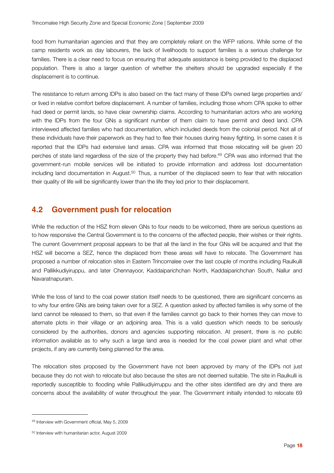food from humanitarian agencies and that they are completely reliant on the WFP rations. While some of the camp residents work as day labourers, the lack of livelihoods to support families is a serious challenge for families. There is a clear need to focus on ensuring that adequate assistance is being provided to the displaced population. There is also a larger question of whether the shelters should be upgraded especially if the displacement is to continue.

The resistance to return among IDPs is also based on the fact many of these IDPs owned large properties and/ or lived in relative comfort before displacement. A number of families, including those whom CPA spoke to either had deed or permit lands, so have clear ownership claims. According to humanitarian actors who are working with the IDPs from the four GNs a significant number of them claim to have permit and deed land. CPA interviewed affected families who had documentation, which included deeds from the colonial period. Not all of these individuals have their paperwork as they had to flee their houses during heavy fighting. In some cases it is reported that the IDPs had extensive land areas. CPA was informed that those relocating will be given 20 perches of state land regardless of the size of the property they had before.<sup>49</sup> CPA was also informed that the government-run mobile services will be initiated to provide information and address lost documentation including land documentation in August.[50](#page-17-1) Thus, a number of the displaced seem to fear that with relocation their quality of life will be significantly lower than the life they led prior to their displacement.

#### **4.2 Government push for relocation**

While the reduction of the HSZ from eleven GNs to four needs to be welcomed, there are serious questions as to how responsive the Central Government is to the concerns of the affected people, their wishes or their rights. The current Government proposal appears to be that all the land in the four GNs will be acquired and that the HSZ will become a SEZ, hence the displaced from these areas will have to relocate. The Government has proposed a number of relocation sites in Eastern Trincomalee over the last couple of months including Raulkulli and Pallikkudiyiruppu, and later Chennayoor, Kaddaiparichchan North, Kaddaiparichchan South, Nallur and Navaratnapuram.

While the loss of land to the coal power station itself needs to be questioned, there are significant concerns as to why four entire GNs are being taken over for a SEZ. A question asked by affected families is why some of the land cannot be released to them, so that even if the families cannot go back to their homes they can move to alternate plots in their village or an adjoining area. This is a valid question which needs to be seriously considered by the authorities, donors and agencies supporting relocation. At present, there is no public information available as to why such a large land area is needed for the coal power plant and what other projects, if any are currently being planned for the area.

The relocation sites proposed by the Government have not been approved by many of the IDPs not just because they do not wish to relocate but also because the sites are not deemed suitable. The site in Raulkulli is reportedly susceptible to flooding while Pallikudiyirruppu and the other sites identified are dry and there are concerns about the availability of water throughout the year. The Government initially intended to relocate 69

<span id="page-17-0"></span><sup>49</sup> Interview with Government official, May 5, 2009

<span id="page-17-1"></span><sup>50</sup> Interview with humanitarian actor, August 2009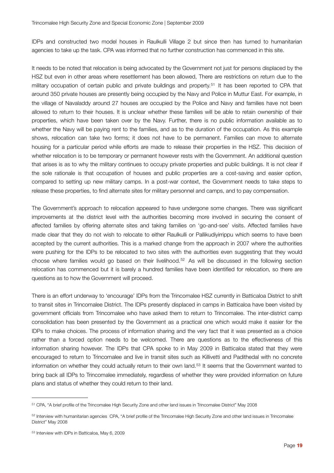IDPs and constructed two model houses in Raulkulli Village 2 but since then has turned to humanitarian agencies to take up the task. CPA was informed that no further construction has commenced in this site.

It needs to be noted that relocation is being advocated by the Government not just for persons displaced by the HSZ but even in other areas where resettlement has been allowed, There are restrictions on return due to the military occupation of certain public and private buildings and property.<sup>51</sup> It has been reported to CPA that around 350 private houses are presently being occupied by the Navy and Police in Muttur East. For example, in the village of Navaladdy around 27 houses are occupied by the Police and Navy and families have not been allowed to return to their houses. It is unclear whether these families will be able to retain ownership of their properties, which have been taken over by the Navy. Further, there is no public information available as to whether the Navy will be paying rent to the families, and as to the duration of the occupation. As this example shows, relocation can take two forms; it does not have to be permanent. Families can move to alternate housing for a particular period while efforts are made to release their properties in the HSZ. This decision of whether relocation is to be temporary or permanent however rests with the Government. An additional question that arises is as to why the military continues to occupy private properties and public buildings. It is not clear if the sole rationale is that occupation of houses and public properties are a cost-saving and easier option, compared to setting up new military camps. In a post-war context, the Government needs to take steps to release these properties, to find alternate sites for military personnel and camps, and to pay compensation.

The Government's approach to relocation appeared to have undergone some changes. There was significant improvements at the district level with the authorities becoming more involved in securing the consent of affected families by offering alternate sites and taking families on 'go-and-see' visits. Affected families have made clear that they do not wish to relocate to either Raulkulli or Pallikudiyirrippu which seems to have been accepted by the current authorities. This is a marked change from the approach in 2007 where the authorities were pushing for the IDPs to be relocated to two sites with the authorities even suggesting that they would choose where families would go based on their livelihood.[52](#page-18-1) As will be discussed in the following section relocation has commenced but it is barely a hundred families have been identified for relocation, so there are questions as to how the Government will proceed.

There is an effort underway to 'encourage' IDPs from the Trincomalee HSZ currently in Batticaloa District to shift to transit sites in Trincomalee District. The IDPs presently displaced in camps in Batticaloa have been visited by government officials from Trincomalee who have asked them to return to Trincomalee. The inter-district camp consolidation has been presented by the Government as a practical one which would make it easier for the IDPs to make choices. The process of information sharing and the very fact that it was presented as a choice rather than a forced option needs to be welcomed. There are questions as to the effectiveness of this information sharing however. The IDPs that CPA spoke to in May 2009 in Batticaloa stated that they were encouraged to return to Trincomalee and live in transit sites such as Killivetti and Padithedal with no concrete information on whether they could actually return to their own land.[53](#page-18-2) It seems that the Government wanted to bring back all IDPs to Trincomalee immediately, regardless of whether they were provided information on future plans and status of whether they could return to their land.

<span id="page-18-0"></span><sup>51</sup> CPA, "A brief profile of the Trincomalee High Security Zone and other land issues in Trincomalee District" May 2008

<span id="page-18-1"></span><sup>&</sup>lt;sup>52</sup> Interview with humanitarian agencies CPA, "A brief profile of the Trincomalee High Security Zone and other land issues in Trincomalee District" May 2008

<span id="page-18-2"></span><sup>53</sup> Interview with IDPs in Batticaloa, May 6, 2009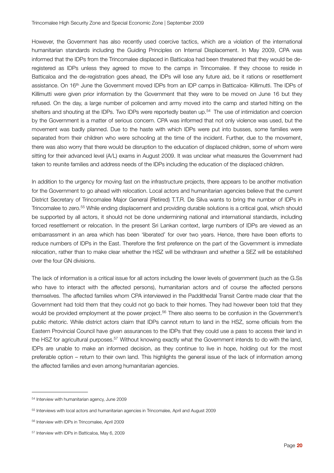However, the Government has also recently used coercive tactics, which are a violation of the international humanitarian standards including the Guiding Principles on Internal Displacement. In May 2009, CPA was informed that the IDPs from the Trincomalee displaced in Batticaloa had been threatened that they would be deregistered as IDPs unless they agreed to move to the camps in Trincomalee. If they choose to reside in Batticaloa and the de-registration goes ahead, the IDPs will lose any future aid, be it rations or resettlement assistance. On 16th June the Government moved IDPs from an IDP camps in Batticaloa- Killimutti. The IDPs of Killimutti were given prior information by the Government that they were to be moved on June 16 but they refused. On the day, a large number of policemen and army moved into the camp and started hitting on the shelters and shouting at the IDPs. Two IDPs were reportedly beaten up.[54](#page-19-0) The use of intimidation and coercion by the Government is a matter of serious concern. CPA was informed that not only violence was used, but the movement was badly planned. Due to the haste with which IDPs were put into busses, some families were separated from their children who were schooling at the time of the incident. Further, due to the movement, there was also worry that there would be disruption to the education of displaced children, some of whom were sitting for their advanced level (A/L) exams in August 2009. It was unclear what measures the Government had taken to reunite families and address needs of the IDPs including the education of the displaced children.

In addition to the urgency for moving fast on the infrastructure projects, there appears to be another motivation for the Government to go ahead with relocation. Local actors and humanitarian agencies believe that the current District Secretary of Trincomalee Major General (Retired) T.T.R. De Silva wants to bring the number of IDPs in Trincomalee to zero.[55](#page-19-1) While ending displacement and providing durable solutions is a critical goal, which should be supported by all actors, it should not be done undermining national and international standards, including forced resettlement or relocation. In the present Sri Lankan context, large numbers of IDPs are viewed as an embarrassment in an area which has been 'liberated' for over two years. Hence, there have been efforts to reduce numbers of IDPs in the East. Therefore the first preference on the part of the Government is immediate relocation, rather than to make clear whether the HSZ will be withdrawn and whether a SEZ will be established over the four GN divisions.

The lack of information is a critical issue for all actors including the lower levels of government (such as the G.Ss who have to interact with the affected persons), humanitarian actors and of course the affected persons themselves. The affected families whom CPA interviewed in the Paddithedal Transit Centre made clear that the Government had told them that they could not go back to their homes. They had however been told that they would be provided employment at the power project.<sup>56</sup> There also seems to be confusion in the Government's public rhetoric. While district actors claim that IDPs cannot return to land in the HSZ, some officials from the Eastern Provincial Council have given assurances to the IDPs that they could use a pass to access their land in the HSZ for agricultural purposes.<sup>57</sup> Without knowing exactly what the Government intends to do with the land, IDPs are unable to make an informed decision, as they continue to live in hope, holding out for the most preferable option – return to their own land. This highlights the general issue of the lack of information among the affected families and even among humanitarian agencies.

<span id="page-19-0"></span><sup>54</sup> Interview with humanitarian agency, June 2009

<span id="page-19-1"></span><sup>55</sup> Interviews with local actors and humanitarian agencies in Trincomalee, April and August 2009

<span id="page-19-2"></span><sup>56</sup> Interview with IDPs in Trincomalee, April 2009

<span id="page-19-3"></span><sup>57</sup> Interview with IDPs in Batticaloa, May 6, 2009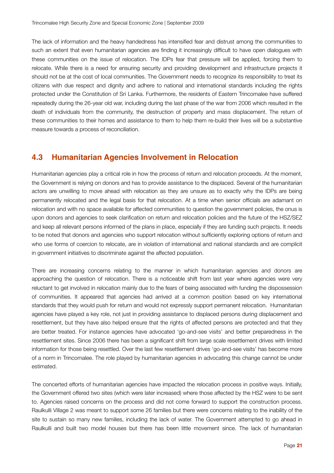The lack of information and the heavy handedness has intensified fear and distrust among the communities to such an extent that even humanitarian agencies are finding it increasingly difficult to have open dialogues with these communities on the issue of relocation. The IDPs fear that pressure will be applied, forcing them to relocate. While there is a need for ensuring security and providing development and infrastructure projects it should not be at the cost of local communities. The Government needs to recognize its responsibility to treat its citizens with due respect and dignity and adhere to national and international standards including the rights protected under the Constitution of Sri Lanka. Furthermore, the residents of Eastern Trincomalee have suffered repeatedly during the 26-year old war, including during the last phase of the war from 2006 which resulted in the death of individuals from the community, the destruction of property and mass displacement. The return of these communities to their homes and assistance to them to help them re-build their lives will be a substantive measure towards a process of reconciliation.

#### **4.3 Humanitarian Agencies Involvement in Relocation**

Humanitarian agencies play a critical role in how the process of return and relocation proceeds. At the moment, the Government is relying on donors and has to provide assistance to the displaced. Several of the humanitarian actors are unwilling to move ahead with relocation as they are unsure as to exactly why the IDPs are being permanently relocated and the legal basis for that relocation. At a time when senior officials are adamant on relocation and with no space available for affected communities to question the government policies, the onus is upon donors and agencies to seek clarification on return and relocation policies and the future of the HSZ/SEZ and keep all relevant persons informed of the plans in place, especially if they are funding such projects. It needs to be noted that donors and agencies who support relocation without sufficiently exploring options of return and who use forms of coercion to relocate, are in violation of international and national standards and are complicit in government initiatives to discriminate against the affected population.

There are increasing concerns relating to the manner in which humanitarian agencies and donors are approaching the question of relocation. There is a noticeable shift from last year where agencies were very reluctant to get involved in relocation mainly due to the fears of being associated with funding the dispossession of communities. It appeared that agencies had arrived at a common position based on key international standards that they would push for return and would not expressly support permanent relocation. Humanitarian agencies have played a key role, not just in providing assistance to displaced persons during displacement and resettlement, but they have also helped ensure that the rights of affected persons are protected and that they are better treated. For instance agencies have advocated 'go-and-see visits' and better preparedness in the resettlement sites. Since 2006 there has been a significant shift from large scale resettlement drives with limited information for those being resettled. Over the last few resettlement drives 'go-and-see visits' has become more of a norm in Trincomalee. The role played by humanitarian agencies in advocating this change cannot be under estimated.

The concerted efforts of humanitarian agencies have impacted the relocation process in positive ways. Initially, the Government offered two sites (which were later increased) where those affected by the HSZ were to be sent to. Agencies raised concerns on the process and did not come forward to support the construction process. Raulkulli Village 2 was meant to support some 26 families but there were concerns relating to the inability of the site to sustain so many new families, including the lack of water. The Government attempted to go ahead in Raulkulli and built two model houses but there has been little movement since. The lack of humanitarian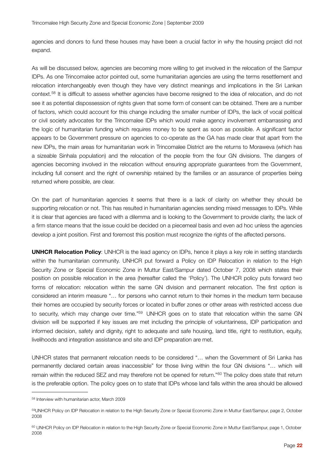agencies and donors to fund these houses may have been a crucial factor in why the housing project did not expand.

As will be discussed below, agencies are becoming more willing to get involved in the relocation of the Sampur IDPs. As one Trincomalee actor pointed out, some humanitarian agencies are using the terms resettlement and relocation interchangeably even though they have very distinct meanings and implications in the Sri Lankan context.[58](#page-21-0) It is difficult to assess whether agencies have become resigned to the idea of relocation, and do not see it as potential dispossession of rights given that some form of consent can be obtained. There are a number of factors, which could account for this change including the smaller number of IDPs, the lack of vocal political or civil society advocates for the Trincomalee IDPs which would make agency involvement embarrassing and the logic of humanitarian funding which requires money to be spent as soon as possible. A significant factor appears to be Government pressure on agencies to co-operate as the GA has made clear that apart from the new IDPs, the main areas for humanitarian work in Trincomalee District are the returns to Moraweva (which has a sizeable Sinhala population) and the relocation of the people from the four GN divisions. The dangers of agencies becoming involved in the relocation without ensuring appropriate guarantees from the Government, including full consent and the right of ownership retained by the families or an assurance of properties being returned where possible, are clear.

On the part of humanitarian agencies it seems that there is a lack of clarity on whether they should be supporting relocation or not. This has resulted in humanitarian agencies sending mixed messages to IDPs. While it is clear that agencies are faced with a dilemma and is looking to the Government to provide clarity, the lack of a firm stance means that the issue could be decided on a piecemeal basis and even ad hoc unless the agencies develop a joint position. First and foremost this position must recognize the rights of the affected persons.

**UNHCR Relocation Policy**: UNHCR is the lead agency on IDPs, hence it plays a key role in setting standards within the humanitarian community. UNHCR put forward a Policy on IDP Relocation in relation to the High Security Zone or Special Economic Zone in Muttur East/Sampur dated October 7, 2008 which states their position on possible relocation in the area (hereafter called the 'Policy'). The UNHCR policy puts forward two forms of relocation: relocation within the same GN division and permanent relocation. The first option is considered an interim measure "… for persons who cannot return to their homes in the medium term because their homes are occupied by security forces or located in buffer zones or other areas with restricted access due to security, which may change over time."[59](#page-21-1) UNHCR goes on to state that relocation within the same GN division will be supported if key issues are met including the principle of voluntariness, IDP participation and informed decision, safety and dignity, right to adequate and safe housing, land title, right to restitution, equity, livelihoods and integration assistance and site and IDP preparation are met.

UNHCR states that permanent relocation needs to be considered "… when the Government of Sri Lanka has permanently declared certain areas inaccessible" for those living within the four GN divisions "… which will remain within the reduced SEZ and may therefore not be opened for return."[60](#page-21-2) The policy does state that return is the preferable option. The policy goes on to state that IDPs whose land falls within the area should be allowed

<span id="page-21-0"></span><sup>58</sup> Interview with humanitarian actor, March 2009

<span id="page-21-1"></span><sup>59</sup>UNHCR Policy on IDP Relocation in relation to the High Security Zone or Special Economic Zone in Muttur East/Sampur, page 2, October 2008

<span id="page-21-2"></span><sup>60</sup> UNHCR Policy on IDP Relocation in relation to the High Security Zone or Special Economic Zone in Muttur East/Sampur, page 1, October 2008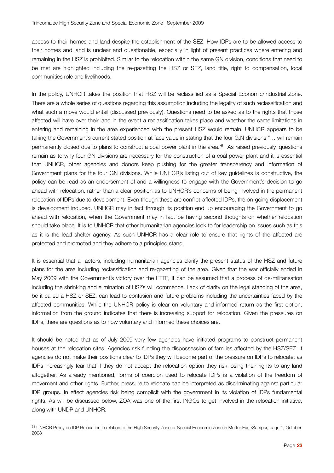access to their homes and land despite the establishment of the SEZ. How IDPs are to be allowed access to their homes and land is unclear and questionable, especially in light of present practices where entering and remaining in the HSZ is prohibited. Similar to the relocation within the same GN division, conditions that need to be met are highlighted including the re-gazetting the HSZ or SEZ, land title, right to compensation, local communities role and livelihoods.

In the policy, UNHCR takes the position that HSZ will be reclassified as a Special Economic/Industrial Zone. There are a whole series of questions regarding this assumption including the legality of such reclassification and what such a move would entail (discussed previously). Questions need to be asked as to the rights that those affected will have over their land in the event a reclassification takes place and whether the same limitations in entering and remaining in the area experienced with the present HSZ would remain. UNHCR appears to be taking the Government's current stated position at face value in stating that the four G.N divisions "… will remain permanently closed due to plans to construct a coal power plant in the area.'[61](#page-22-0) As raised previously, questions remain as to why four GN divisions are necessary for the construction of a coal power plant and it is essential that UNHCR, other agencies and donors keep pushing for the greater transparency and information of Government plans for the four GN divisions. While UNHCR's listing out of key guidelines is constructive, the policy can be read as an endorsement of and a willingness to engage with the Government's decision to go ahead with relocation, rather than a clear position as to UNHCR's concerns of being involved in the permanent relocation of IDPs due to development. Even though these are conflict-affected IDPs, the on-going displacement is development induced. UNHCR may in fact through its position end up encouraging the Government to go ahead with relocation, when the Government may in fact be having second thoughts on whether relocation should take place. It is to UNHCR that other humanitarian agencies look to for leadership on issues such as this as it is the lead shelter agency. As such UNHCR has a clear role to ensure that rights of the affected are protected and promoted and they adhere to a principled stand.

It is essential that all actors, including humanitarian agencies clarify the present status of the HSZ and future plans for the area including reclassification and re-gazetting of the area. Given that the war officially ended in May 2009 with the Government's victory over the LTTE, it can be assumed that a process of de-militarisation including the shrinking and elimination of HSZs will commence. Lack of clarity on the legal standing of the area, be it called a HSZ or SEZ, can lead to confusion and future problems including the uncertainties faced by the affected communities. While the UNHCR policy is clear on voluntary and informed return as the first option, information from the ground indicates that there is increasing support for relocation. Given the pressures on IDPs, there are questions as to how voluntary and informed these choices are.

It should be noted that as of July 2009 very few agencies have initiated programs to construct permanent houses at the relocation sites. Agencies risk funding the dispossession of families affected by the HSZ/SEZ. If agencies do not make their positions clear to IDPs they will become part of the pressure on IDPs to relocate, as IDPs increasingly fear that if they do not accept the relocation option they risk losing their rights to any land altogether. As already mentioned, forms of coercion used to relocate IDPs is a violation of the freedom of movement and other rights. Further, pressure to relocate can be interpreted as discriminating against particular IDP groups. In effect agencies risk being complicit with the government in its violation of IDPs fundamental rights. As will be discussed below, ZOA was one of the first INGOs to get involved in the relocation initiative, along with UNDP and UNHCR.

<span id="page-22-0"></span><sup>61</sup> UNHCR Policy on IDP Relocation in relation to the High Security Zone or Special Economic Zone in Muttur East/Sampur, page 1, October 2008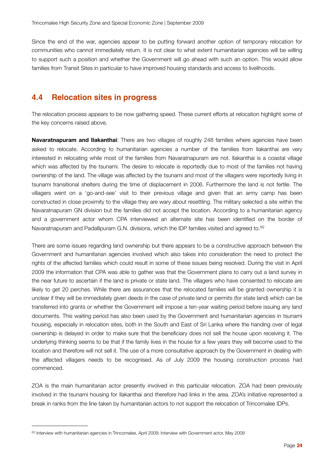Since the end of the war, agencies appear to be putting forward another option of temporary relocation for communities who cannot immediately return. It is not clear to what extent humanitarian agencies will be willing to support such a position and whether the Government will go ahead with such an option. This would allow families from Transit Sites in particular to have improved housing standards and access to livelihoods.

#### **4.4 Relocation sites in progress**

The relocation process appears to be now gathering speed. These current efforts at relocation highlight some of the key concerns raised above.

**Navaratnapuram and Ilakanthai**: There are two villages of roughly 248 families where agencies have been asked to relocate. According to humanitarian agencies a number of the families from Ilakanthai are very interested in relocating while most of the families from Navaratnapuram are not. Ilakanthai is a coastal village which was affected by the tsunami. The desire to relocate is reportedly due to most of the families not having ownership of the land. The village was affected by the tsunami and most of the villagers were reportedly living in tsunami transitional shelters during the time of displacement in 2006. Furthermore the land is not fertile. The villagers went on a 'go-and-see' visit to their previous village and given that an army camp has been constructed in close proximity to the village they are wary about resettling. The military selected a site within the Navaratnapuram GN division but the families did not accept the location. According to a humanitarian agency and a government actor whom CPA interviewed an alternate site has been identified on the border of Navaratnapuram and Padallipuram G.N. divisions, which the IDP families visited and agreed to.<sup>[62](#page-23-0)</sup>

There are some issues regarding land ownership but there appears to be a constructive approach between the Government and humanitarian agencies involved which also takes into consideration the need to protect the rights of the affected families which could result in some of these issues being resolved. During the visit in April 2009 the information that CPA was able to gather was that the Government plans to carry out a land survey in the near future to ascertain if the land is private or state land. The villagers who have consented to relocate are likely to get 20 perches. While there are assurances that the relocated families will be granted ownership it is unclear if they will be immediately given deeds in the case of private land or permits (for state land) which can be transferred into grants or whether the Government will impose a ten-year waiting period before issuing any land documents. This waiting period has also been used by the Government and humanitarian agencies in tsunami housing, especially in relocation sites, both in the South and East of Sri Lanka where the handing over of legal ownership is delayed in order to make sure that the beneficiary does not sell the house upon receiving it. The underlying thinking seems to be that if the family lives in the house for a few years they will become used to the location and therefore will not sell it. The use of a more consultative approach by the Government in dealing with the affected villagers needs to be recognised. As of July 2009 the housing construction process had commenced.

ZOA is the main humanitarian actor presently involved in this particular relocation. ZOA had been previously involved in the tsunami housing for Ilakanthai and therefore had links in the area. ZOA's initiative represented a break in ranks from the line taken by humanitarian actors to not support the relocation of Trincomalee IDPs.

<span id="page-23-0"></span><sup>&</sup>lt;sup>62</sup> Interview with humanitarian agencies in Trincomalee, April 2009; Interview with Government actor, May 2009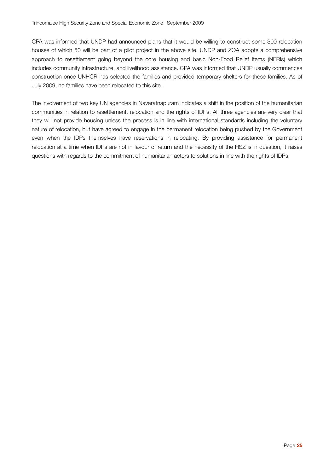CPA was informed that UNDP had announced plans that it would be willing to construct some 300 relocation houses of which 50 will be part of a pilot project in the above site. UNDP and ZOA adopts a comprehensive approach to resettlement going beyond the core housing and basic Non-Food Relief Items (NFRIs) which includes community infrastructure, and livelihood assistance. CPA was informed that UNDP usually commences construction once UNHCR has selected the families and provided temporary shelters for these families. As of July 2009, no families have been relocated to this site.

The involvement of two key UN agencies in Navaratnapuram indicates a shift in the position of the humanitarian communities in relation to resettlement, relocation and the rights of IDPs. All three agencies are very clear that they will not provide housing unless the process is in line with international standards including the voluntary nature of relocation, but have agreed to engage in the permanent relocation being pushed by the Government even when the IDPs themselves have reservations in relocating. By providing assistance for permanent relocation at a time when IDPs are not in favour of return and the necessity of the HSZ is in question, it raises questions with regards to the commitment of humanitarian actors to solutions in line with the rights of IDPs.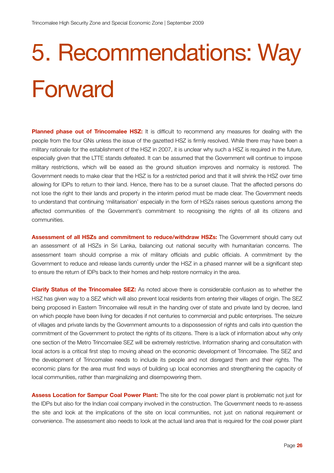# 5. Recommendations: Way Forward

**Planned phase out of Trincomalee HSZ:** It is difficult to recommend any measures for dealing with the people from the four GNs unless the issue of the gazetted HSZ is firmly resolved. While there may have been a military rationale for the establishment of the HSZ in 2007, it is unclear why such a HSZ is required in the future, especially given that the LTTE stands defeated. It can be assumed that the Government will continue to impose military restrictions, which will be eased as the ground situation improves and normalcy is restored. The Government needs to make clear that the HSZ is for a restricted period and that it will shrink the HSZ over time allowing for IDPs to return to their land. Hence, there has to be a sunset clause. That the affected persons do not lose the right to their lands and property in the interim period must be made clear. The Government needs to understand that continuing 'militarisation' especially in the form of HSZs raises serious questions among the affected communities of the Government's commitment to recognising the rights of all its citizens and communities.

**Assessment of all HSZs and commitment to reduce/withdraw HSZs:** The Government should carry out an assessment of all HSZs in Sri Lanka, balancing out national security with humanitarian concerns. The assessment team should comprise a mix of military officials and public officials. A commitment by the Government to reduce and release lands currently under the HSZ in a phased manner will be a significant step to ensure the return of IDPs back to their homes and help restore normalcy in the area.

**Clarify Status of the Trincomalee SEZ:** As noted above there is considerable confusion as to whether the HSZ has given way to a SEZ which will also prevent local residents from entering their villages of origin. The SEZ being proposed in Eastern Trincomalee will result in the handing over of state and private land by decree, land on which people have been living for decades if not centuries to commercial and public enterprises. The seizure of villages and private lands by the Government amounts to a dispossession of rights and calls into question the commitment of the Government to protect the rights of its citizens. There is a lack of information about why only one section of the Metro Trincomalee SEZ will be extremely restrictive. Information sharing and consultation with local actors is a critical first step to moving ahead on the economic development of Trincomalee. The SEZ and the development of Trincomalee needs to include its people and not disregard them and their rights. The economic plans for the area must find ways of building up local economies and strengthening the capacity of local communities, rather than marginalizing and disempowering them.

**Assess Location for Sampur Coal Power Plant:** The site for the coal power plant is problematic not just for the IDPs but also for the Indian coal company involved in the construction. The Government needs to re-assess the site and look at the implications of the site on local communities, not just on national requirement or convenience. The assessment also needs to look at the actual land area that is required for the coal power plant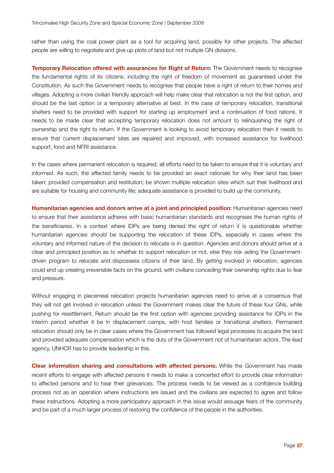rather than using the coal power plant as a tool for acquiring land, possibly for other projects. The affected people are willing to negotiate and give up plots of land but not multiple GN divisions.

**Temporary Relocation offered with assurances for Right of Return:** The Government needs to recognise the fundamental rights of its citizens, including the right of freedom of movement as guaranteed under the Constitution. As such the Government needs to recognise that people have a right of return to their homes and villages. Adopting a more civilian friendly approach will help make clear that relocation is not the first option, and should be the last option or a temporary alternative at best. In the case of temporary relocation, transitional shelters need to be provided with support for starting up employment and a continuation of food rations. It needs to be made clear that accepting temporary relocation does not amount to relinquishing the right of ownership and the right to return. If the Government is looking to avoid temporary relocation then it needs to ensure that current displacement sites are repaired and improved, with increased assistance for livelihood support, food and NFRI assistance.

In the cases where permanent relocation is required, all efforts need to be taken to ensure that it is voluntary and informed. As such, the affected family needs to be provided an exact rationale for why their land has been taken; provided compensation and restitution; be shown multiple relocation sites which suit their livelihood and are suitable for housing and community life; adequate assistance is provided to build up the community.

**Humanitarian agencies and donors arrive at a joint and principled position:** Humanitarian agencies need to ensure that their assistance adheres with basic humanitarian standards and recognises the human rights of the beneficiaries. In a context where IDPs are being denied the right of return it is questionable whether humanitarian agencies should be supporting the relocation of these IDPs, especially in cases where the voluntary and informed nature of the decision to relocate is in question. Agencies and donors should arrive at a clear and principled position as to whether to support relocation or not, else they risk aiding the Governmentdriven program to relocate and dispossess citizens of their land. By getting involved in relocation, agencies could end up creating irreversible facts on the ground, with civilians conceding their ownership rights due to fear and pressure.

Without engaging in piecemeal relocation projects humanitarian agencies need to arrive at a consensus that they will not get involved in relocation unless the Government makes clear the future of these four GNs, while pushing for resettlement. Return should be the first option with agencies providing assistance for IDPs in the interim period whether it be in displacement camps, with host families or transitional shelters. Permanent relocation should only be in clear cases where the Government has followed legal processes to acquire the land and provided adequate compensation which is the duty of the Government not of humanitarian actors. The lead agency, UNHCR has to provide leadership in this.

**Clear information sharing and consultations with affected persons:** While the Government has made recent efforts to engage with affected persons it needs to make a concerted effort to provide clear information to affected persons and to hear their grievances. The process needs to be viewed as a confidence building process not as an operation where instructions are issued and the civilians are expected to agree and follow these instructions. Adopting a more participatory approach in this issue would assuage fears of the community and be part of a much larger process of restoring the confidence of the people in the authorities.